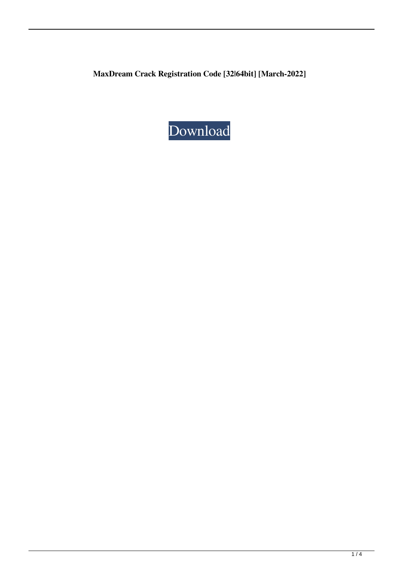**MaxDream Crack Registration Code [32|64bit] [March-2022]**

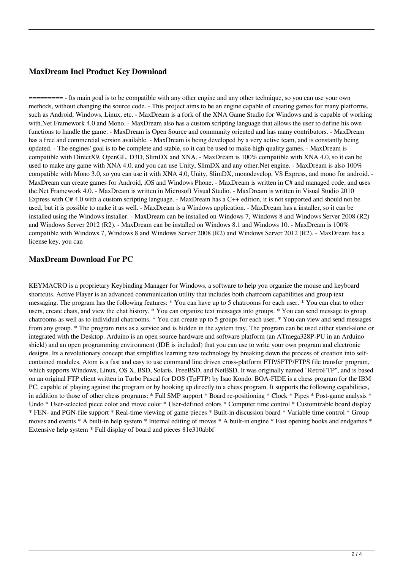# **MaxDream Incl Product Key Download**

========= - Its main goal is to be compatible with any other engine and any other technique, so you can use your own methods, without changing the source code. - This project aims to be an engine capable of creating games for many platforms, such as Android, Windows, Linux, etc. - MaxDream is a fork of the XNA Game Studio for Windows and is capable of working with.Net Framework 4.0 and Mono. - MaxDream also has a custom scripting language that allows the user to define his own functions to handle the game. - MaxDream is Open Source and community oriented and has many contributors. - MaxDream has a free and commercial version available. - MaxDream is being developed by a very active team, and is constantly being updated. - The engines' goal is to be complete and stable, so it can be used to make high quality games. - MaxDream is compatible with DirectX9, OpenGL, D3D, SlimDX and XNA. - MaxDream is 100% compatible with XNA 4.0, so it can be used to make any game with XNA 4.0, and you can use Unity, SlimDX and any other.Net engine. - MaxDream is also 100% compatible with Mono 3.0, so you can use it with XNA 4.0, Unity, SlimDX, monodevelop, VS Express, and mono for android. - MaxDream can create games for Android, iOS and Windows Phone. - MaxDream is written in C# and managed code, and uses the.Net Framework 4.0. - MaxDream is written in Microsoft Visual Studio. - MaxDream is written in Visual Studio 2010 Express with C# 4.0 with a custom scripting language. - MaxDream has a C++ edition, it is not supported and should not be used, but it is possible to make it as well. - MaxDream is a Windows application. - MaxDream has a installer, so it can be installed using the Windows installer. - MaxDream can be installed on Windows 7, Windows 8 and Windows Server 2008 (R2) and Windows Server 2012 (R2). - MaxDream can be installed on Windows 8.1 and Windows 10. - MaxDream is 100% compatible with Windows 7, Windows 8 and Windows Server 2008 (R2) and Windows Server 2012 (R2). - MaxDream has a license key, you can

# **MaxDream Download For PC**

KEYMACRO is a proprietary Keybinding Manager for Windows, a software to help you organize the mouse and keyboard shortcuts. Active Player is an advanced communication utility that includes both chatroom capabilities and group text messaging. The program has the following features: \* You can have up to 5 chatrooms for each user. \* You can chat to other users, create chats, and view the chat history. \* You can organize text messages into groups. \* You can send message to group chatrooms as well as to individual chatrooms. \* You can create up to 5 groups for each user. \* You can view and send messages from any group. \* The program runs as a service and is hidden in the system tray. The program can be used either stand-alone or integrated with the Desktop. Arduino is an open source hardware and software platform (an ATmega328P-PU in an Arduino shield) and an open programming environment (IDE is included) that you can use to write your own program and electronic designs. Its a revolutionary concept that simplifies learning new technology by breaking down the process of creation into selfcontained modules. Atom is a fast and easy to use command line driven cross-platform FTP/SFTP/FTPS file transfer program, which supports Windows, Linux, OS X, BSD, Solaris, FreeBSD, and NetBSD. It was originally named "RetroFTP", and is based on an original FTP client written in Turbo Pascal for DOS (TpFTP) by Isao Kondo. BOA-FIDE is a chess program for the IBM PC, capable of playing against the program or by hooking up directly to a chess program. It supports the following capabilities, in addition to those of other chess programs: \* Full SMP support \* Board re-positioning \* Clock \* Pipes \* Post-game analysis \* Undo \* User-selected piece color and move color \* User-defined colors \* Computer time control \* Customizable board display \* FEN- and PGN-file support \* Real-time viewing of game pieces \* Built-in discussion board \* Variable time control \* Group moves and events \* A built-in help system \* Internal editing of moves \* A built-in engine \* Fast opening books and endgames \* Extensive help system \* Full display of board and pieces 81e310abbf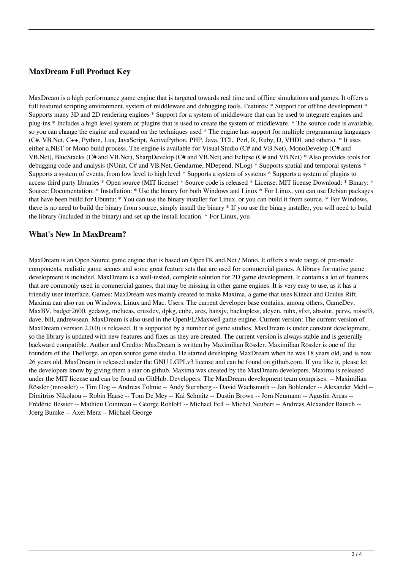# **MaxDream Full Product Key**

MaxDream is a high performance game engine that is targeted towards real time and offline simulations and games. It offers a full featured scripting environment, system of middleware and debugging tools. Features: \* Support for offline development \* Supports many 3D and 2D rendering engines \* Support for a system of middleware that can be used to integrate engines and plug-ins \* Includes a high level system of plugins that is used to create the system of middleware. \* The source code is available, so you can change the engine and expand on the techniques used \* The engine has support for multiple programming languages (C#, VB.Net, C++, Python, Lua, JavaScript, ActivePython, PHP, Java, TCL, Perl, R, Ruby, D, VHDL and others). \* It uses either a.NET or Mono build process. The engine is available for Visual Studio (C# and VB.Net), MonoDevelop (C# and VB.Net), BlueStacks (C# and VB.Net), SharpDevelop (C# and VB.Net) and Eclipse (C# and VB.Net) \* Also provides tools for debugging code and analysis (NUnit, C# and VB.Net, Gendarme, NDepend, NLog) \* Supports spatial and temporal systems \* Supports a system of events, from low level to high level \* Supports a system of systems \* Supports a system of plugins to access third party libraries \* Open source (MIT license) \* Source code is released \* License: MIT license Download: \* Binary: \* Source: Documentation: \* Installation: \* Use the binary for both Windows and Linux \* For Linux, you can use Debian packages that have been build for Ubuntu: \* You can use the binary installer for Linux, or you can build it from source. \* For Windows, there is no need to build the binary from source, simply install the binary \* If you use the binary installer, you will need to build the library (included in the binary) and set up the install location. \* For Linux, you

#### **What's New In MaxDream?**

MaxDream is an Open Source game engine that is based on OpenTK and.Net / Mono. It offers a wide range of pre-made components, realistic game scenes and some great feature sets that are used for commercial games. A library for native game development is included. MaxDream is a well-tested, complete solution for 2D game development. It contains a lot of features that are commonly used in commercial games, that may be missing in other game engines. It is very easy to use, as it has a friendly user interface. Games: MaxDream was mainly created to make Maxima, a game that uses Kinect and Oculus Rift. Maxima can also run on Windows, Linux and Mac. Users: The current developer base contains, among others, GameDev, MaxBV, badger2600, gcdawg, mclucas, cruxdev, dpkg, cube, ares, hansjv, backupless, aleyen, ruhx, sfxr, absolut, pervs, noisel3, dave, bill, andrewsean. MaxDream is also used in the OpenFL/Maxwell game engine. Current version: The current version of MaxDream (version 2.0.0) is released. It is supported by a number of game studios. MaxDream is under constant development, so the library is updated with new features and fixes as they are created. The current version is always stable and is generally backward compatible. Author and Credits: MaxDream is written by Maximilian Rössler. Maximilian Rössler is one of the founders of the TheForge, an open source game studio. He started developing MaxDream when he was 18 years old, and is now 26 years old. MaxDream is released under the GNU LGPLv3 license and can be found on github.com. If you like it, please let the developers know by giving them a star on github. Maxima was created by the MaxDream developers. Maxima is released under the MIT license and can be found on GitHub. Developers: The MaxDream development team comprises: -- Maximilian Rössler (mrossler) -- Tim Dog -- Andreas Tolmie -- Andy Sternberg -- David Wachsmuth -- Jan Bohlender -- Alexander Mehl -- Dimitrios Nikolaou -- Robin Haase -- Tom De Mey -- Kai Schmitz -- Dustin Brown -- Jörn Neumann -- Agustin Arcas -- Frédéric Bessier -- Mathieu Cointreau -- George Rohloff -- Michael Fell -- Michel Neubert -- Andreas Alexander Bausch -- Joerg Bumke -- Axel Merz -- Michael George